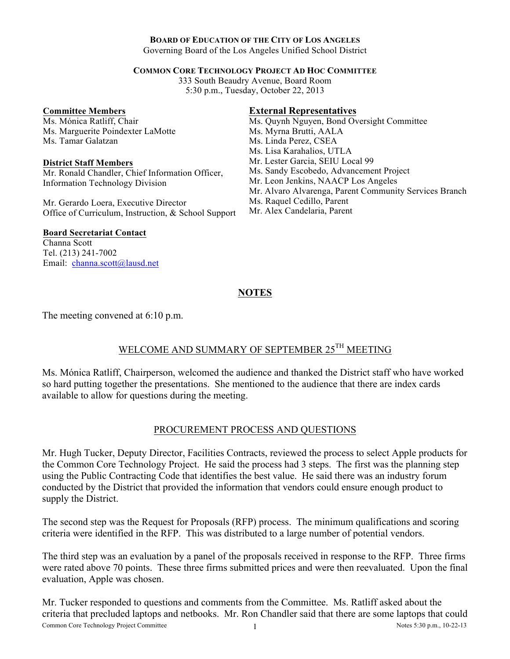#### **BOARD OF EDUCATION OF THE CITY OF LOS ANGELES**

Governing Board of the Los Angeles Unified School District

#### **COMMON CORE TECHNOLOGY PROJECT AD HOC COMMITTEE**

333 South Beaudry Avenue, Board Room 5:30 p.m., Tuesday, October 22, 2013

#### **Committee Members**

Ms. Mónica Ratliff, Chair Ms. Marguerite Poindexter LaMotte Ms. Tamar Galatzan

#### **District Staff Members**

Mr. Ronald Chandler, Chief Information Officer, Information Technology Division

Mr. Gerardo Loera, Executive Director Office of Curriculum, Instruction, & School Support

### **External Representatives**

Ms. Quynh Nguyen, Bond Oversight Committee Ms. Myrna Brutti, AALA Ms. Linda Perez, CSEA Ms. Lisa Karahalios, UTLA Mr. Lester Garcia, SEIU Local 99 Ms. Sandy Escobedo, Advancement Project Mr. Leon Jenkins, NAACP Los Angeles Mr. Alvaro Alvarenga, Parent Community Services Branch Ms. Raquel Cedillo, Parent

Mr. Alex Candelaria, Parent

### **Board Secretariat Contact**

Channa Scott Tel. (213) 241-7002 Email: channa.scott@lausd.net

# **NOTES**

The meeting convened at 6:10 p.m.

## WELCOME AND SUMMARY OF SEPTEMBER 25<sup>TH</sup> MEETING

Ms. Mónica Ratliff, Chairperson, welcomed the audience and thanked the District staff who have worked so hard putting together the presentations. She mentioned to the audience that there are index cards available to allow for questions during the meeting.

### PROCUREMENT PROCESS AND QUESTIONS

Mr. Hugh Tucker, Deputy Director, Facilities Contracts, reviewed the process to select Apple products for the Common Core Technology Project. He said the process had 3 steps. The first was the planning step using the Public Contracting Code that identifies the best value. He said there was an industry forum conducted by the District that provided the information that vendors could ensure enough product to supply the District.

The second step was the Request for Proposals (RFP) process. The minimum qualifications and scoring criteria were identified in the RFP. This was distributed to a large number of potential vendors.

The third step was an evaluation by a panel of the proposals received in response to the RFP. Three firms were rated above 70 points. These three firms submitted prices and were then reevaluated. Upon the final evaluation, Apple was chosen.

Common Core Technology Project Committee 1 1 Notes 5:30 p.m., 10-22-13 Mr. Tucker responded to questions and comments from the Committee. Ms. Ratliff asked about the criteria that precluded laptops and netbooks. Mr. Ron Chandler said that there are some laptops that could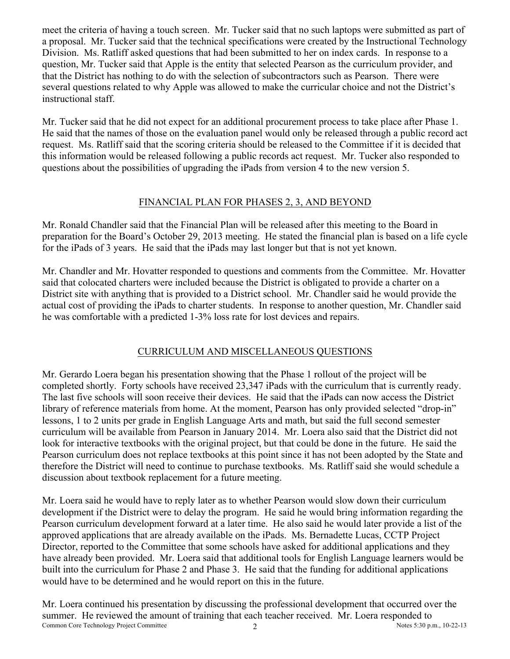meet the criteria of having a touch screen. Mr. Tucker said that no such laptops were submitted as part of a proposal. Mr. Tucker said that the technical specifications were created by the Instructional Technology Division. Ms. Ratliff asked questions that had been submitted to her on index cards. In response to a question, Mr. Tucker said that Apple is the entity that selected Pearson as the curriculum provider, and that the District has nothing to do with the selection of subcontractors such as Pearson. There were several questions related to why Apple was allowed to make the curricular choice and not the District's instructional staff.

Mr. Tucker said that he did not expect for an additional procurement process to take place after Phase 1. He said that the names of those on the evaluation panel would only be released through a public record act request. Ms. Ratliff said that the scoring criteria should be released to the Committee if it is decided that this information would be released following a public records act request. Mr. Tucker also responded to questions about the possibilities of upgrading the iPads from version 4 to the new version 5.

# FINANCIAL PLAN FOR PHASES 2, 3, AND BEYOND

Mr. Ronald Chandler said that the Financial Plan will be released after this meeting to the Board in preparation for the Board's October 29, 2013 meeting. He stated the financial plan is based on a life cycle for the iPads of 3 years. He said that the iPads may last longer but that is not yet known.

Mr. Chandler and Mr. Hovatter responded to questions and comments from the Committee. Mr. Hovatter said that colocated charters were included because the District is obligated to provide a charter on a District site with anything that is provided to a District school. Mr. Chandler said he would provide the actual cost of providing the iPads to charter students. In response to another question, Mr. Chandler said he was comfortable with a predicted 1-3% loss rate for lost devices and repairs.

# CURRICULUM AND MISCELLANEOUS QUESTIONS

Mr. Gerardo Loera began his presentation showing that the Phase 1 rollout of the project will be completed shortly. Forty schools have received 23,347 iPads with the curriculum that is currently ready. The last five schools will soon receive their devices. He said that the iPads can now access the District library of reference materials from home. At the moment, Pearson has only provided selected "drop-in" lessons, 1 to 2 units per grade in English Language Arts and math, but said the full second semester curriculum will be available from Pearson in January 2014. Mr. Loera also said that the District did not look for interactive textbooks with the original project, but that could be done in the future. He said the Pearson curriculum does not replace textbooks at this point since it has not been adopted by the State and therefore the District will need to continue to purchase textbooks. Ms. Ratliff said she would schedule a discussion about textbook replacement for a future meeting.

Mr. Loera said he would have to reply later as to whether Pearson would slow down their curriculum development if the District were to delay the program. He said he would bring information regarding the Pearson curriculum development forward at a later time. He also said he would later provide a list of the approved applications that are already available on the iPads. Ms. Bernadette Lucas, CCTP Project Director, reported to the Committee that some schools have asked for additional applications and they have already been provided. Mr. Loera said that additional tools for English Language learners would be built into the curriculum for Phase 2 and Phase 3. He said that the funding for additional applications would have to be determined and he would report on this in the future.

Common Core Technology Project Committee 2 2 Notes 5:30 p.m., 10-22-13 Mr. Loera continued his presentation by discussing the professional development that occurred over the summer. He reviewed the amount of training that each teacher received. Mr. Loera responded to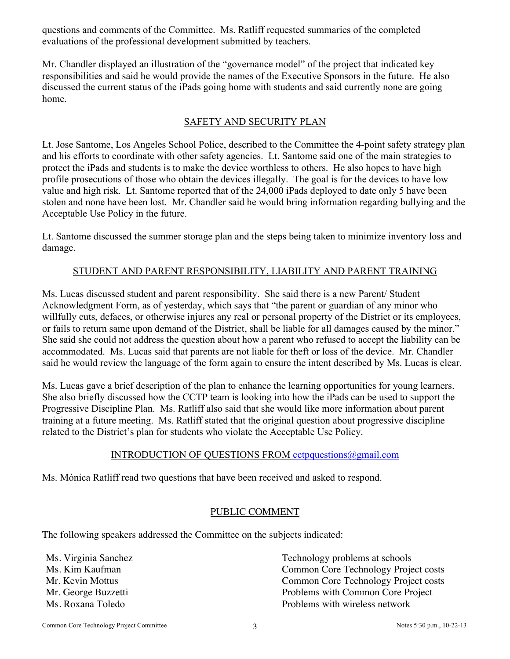questions and comments of the Committee. Ms. Ratliff requested summaries of the completed evaluations of the professional development submitted by teachers.

Mr. Chandler displayed an illustration of the "governance model" of the project that indicated key responsibilities and said he would provide the names of the Executive Sponsors in the future. He also discussed the current status of the iPads going home with students and said currently none are going home.

## SAFETY AND SECURITY PLAN

Lt. Jose Santome, Los Angeles School Police, described to the Committee the 4-point safety strategy plan and his efforts to coordinate with other safety agencies. Lt. Santome said one of the main strategies to protect the iPads and students is to make the device worthless to others. He also hopes to have high profile prosecutions of those who obtain the devices illegally. The goal is for the devices to have low value and high risk. Lt. Santome reported that of the 24,000 iPads deployed to date only 5 have been stolen and none have been lost. Mr. Chandler said he would bring information regarding bullying and the Acceptable Use Policy in the future.

Lt. Santome discussed the summer storage plan and the steps being taken to minimize inventory loss and damage.

## STUDENT AND PARENT RESPONSIBILITY, LIABILITY AND PARENT TRAINING

Ms. Lucas discussed student and parent responsibility. She said there is a new Parent/ Student Acknowledgment Form, as of yesterday, which says that "the parent or guardian of any minor who willfully cuts, defaces, or otherwise injures any real or personal property of the District or its employees, or fails to return same upon demand of the District, shall be liable for all damages caused by the minor." She said she could not address the question about how a parent who refused to accept the liability can be accommodated. Ms. Lucas said that parents are not liable for theft or loss of the device. Mr. Chandler said he would review the language of the form again to ensure the intent described by Ms. Lucas is clear.

Ms. Lucas gave a brief description of the plan to enhance the learning opportunities for young learners. She also briefly discussed how the CCTP team is looking into how the iPads can be used to support the Progressive Discipline Plan. Ms. Ratliff also said that she would like more information about parent training at a future meeting. Ms. Ratliff stated that the original question about progressive discipline related to the District's plan for students who violate the Acceptable Use Policy.

## INTRODUCTION OF QUESTIONS FROM cctpquestions@gmail.com

Ms. Mónica Ratliff read two questions that have been received and asked to respond.

## PUBLIC COMMENT

The following speakers addressed the Committee on the subjects indicated:

Ms. Virginia Sanchez<br>
Ms. Kim Kaufman<br>
Ms. Kim Kaufman<br>
Technology problems at schools<br>
Common Core Technology Proie Common Core Technology Project costs Mr. Kevin Mottus Common Core Technology Project costs Mr. George Buzzetti Problems with Common Core Project Ms. Roxana Toledo Problems with wireless network